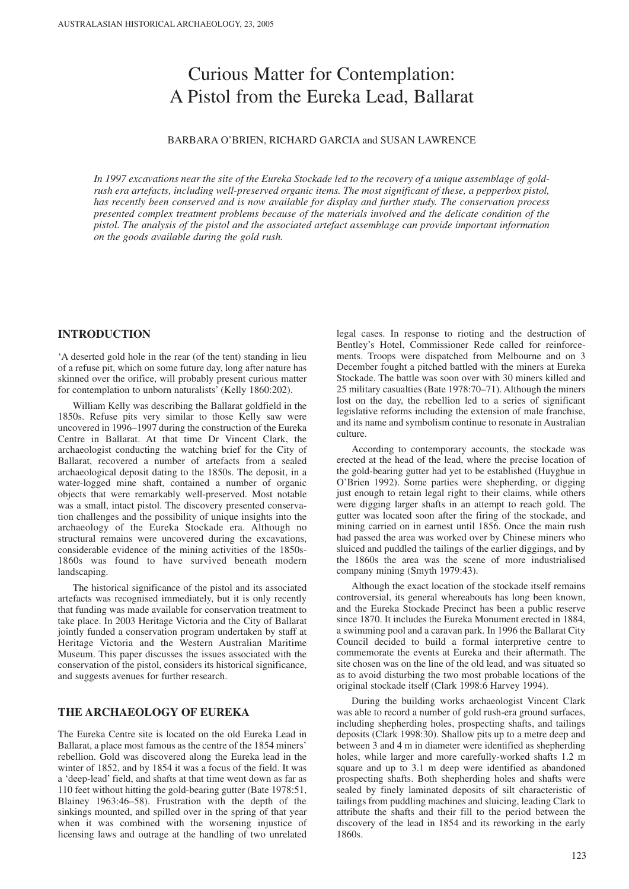# Curious Matter for Contemplation: A Pistol from the Eureka Lead, Ballarat

## BARBARA O'BRIEN, RICHARD GARCIA and SUSAN LAWRENCE

*In 1997 excavations near the site of the Eureka Stockade led to the recovery of a unique assemblage of goldrush era artefacts, including well-preserved organic items. The most significant of these, a pepperbox pistol, has recently been conserved and is now available for display and further study. The conservation process presented complex treatment problems because of the materials involved and the delicate condition of the pistol. The analysis of the pistol and the associated artefact assemblage can provide important information on the goods available during the gold rush.*

## **INTRODUCTION**

'A deserted gold hole in the rear (of the tent) standing in lieu of a refuse pit, which on some future day, long after nature has skinned over the orifice, will probably present curious matter for contemplation to unborn naturalists' (Kelly 1860:202).

William Kelly was describing the Ballarat goldfield in the 1850s. Refuse pits very similar to those Kelly saw were uncovered in 1996–1997 during the construction of the Eureka Centre in Ballarat. At that time Dr Vincent Clark, the archaeologist conducting the watching brief for the City of Ballarat, recovered a number of artefacts from a sealed archaeological deposit dating to the 1850s. The deposit, in a water-logged mine shaft, contained a number of organic objects that were remarkably well-preserved. Most notable was a small, intact pistol. The discovery presented conservation challenges and the possibility of unique insights into the archaeology of the Eureka Stockade era. Although no structural remains were uncovered during the excavations, considerable evidence of the mining activities of the 1850s-1860s was found to have survived beneath modern landscaping.

The historical significance of the pistol and its associated artefacts was recognised immediately, but it is only recently that funding was made available for conservation treatment to take place. In 2003 Heritage Victoria and the City of Ballarat jointly funded a conservation program undertaken by staff at Heritage Victoria and the Western Australian Maritime Museum. This paper discusses the issues associated with the conservation of the pistol, considers its historical significance, and suggests avenues for further research.

# **THE ARCHAEOLOGY OF EUREKA**

The Eureka Centre site is located on the old Eureka Lead in Ballarat, a place most famous as the centre of the 1854 miners' rebellion. Gold was discovered along the Eureka lead in the winter of 1852, and by 1854 it was a focus of the field. It was a 'deep-lead' field, and shafts at that time went down as far as 110 feet without hitting the gold-bearing gutter (Bate 1978:51, Blainey 1963:46–58). Frustration with the depth of the sinkings mounted, and spilled over in the spring of that year when it was combined with the worsening injustice of licensing laws and outrage at the handling of two unrelated

legal cases. In response to rioting and the destruction of Bentley's Hotel, Commissioner Rede called for reinforcements. Troops were dispatched from Melbourne and on 3 December fought a pitched battled with the miners at Eureka Stockade. The battle was soon over with 30 miners killed and 25 military casualties (Bate 1978:70–71). Although the miners lost on the day, the rebellion led to a series of significant legislative reforms including the extension of male franchise, and its name and symbolism continue to resonate in Australian culture.

According to contemporary accounts, the stockade was erected at the head of the lead, where the precise location of the gold-bearing gutter had yet to be established (Huyghue in O'Brien 1992). Some parties were shepherding, or digging just enough to retain legal right to their claims, while others were digging larger shafts in an attempt to reach gold. The gutter was located soon after the firing of the stockade, and mining carried on in earnest until 1856. Once the main rush had passed the area was worked over by Chinese miners who sluiced and puddled the tailings of the earlier diggings, and by the 1860s the area was the scene of more industrialised company mining (Smyth 1979:43).

Although the exact location of the stockade itself remains controversial, its general whereabouts has long been known, and the Eureka Stockade Precinct has been a public reserve since 1870. It includes the Eureka Monument erected in 1884, a swimming pool and a caravan park. In 1996 the Ballarat City Council decided to build a formal interpretive centre to commemorate the events at Eureka and their aftermath. The site chosen was on the line of the old lead, and was situated so as to avoid disturbing the two most probable locations of the original stockade itself (Clark 1998:6 Harvey 1994).

During the building works archaeologist Vincent Clark was able to record a number of gold rush-era ground surfaces, including shepherding holes, prospecting shafts, and tailings deposits (Clark 1998:30). Shallow pits up to a metre deep and between 3 and 4 m in diameter were identified as shepherding holes, while larger and more carefully-worked shafts 1.2 m square and up to 3.1 m deep were identified as abandoned prospecting shafts. Both shepherding holes and shafts were sealed by finely laminated deposits of silt characteristic of tailings from puddling machines and sluicing, leading Clark to attribute the shafts and their fill to the period between the discovery of the lead in 1854 and its reworking in the early 1860s.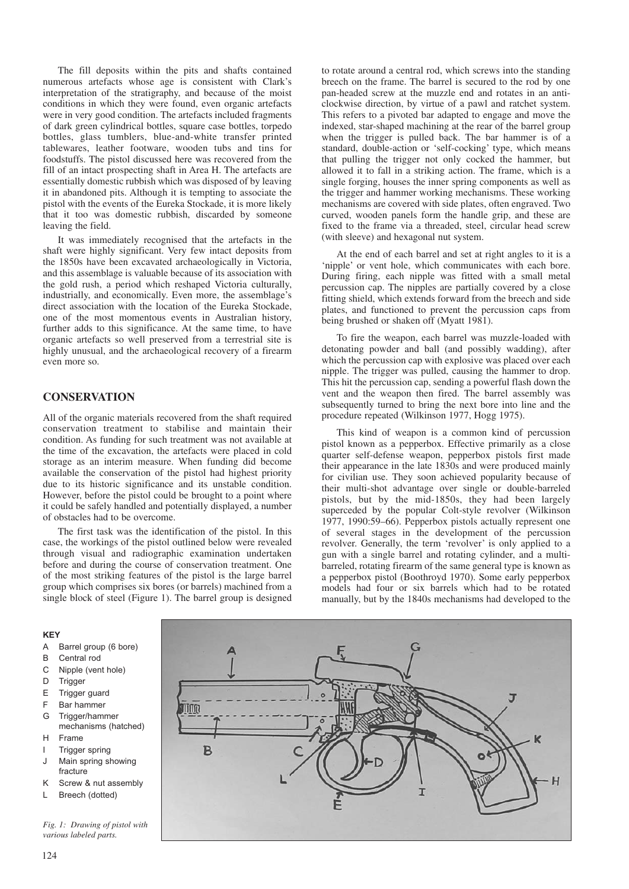The fill deposits within the pits and shafts contained numerous artefacts whose age is consistent with Clark's interpretation of the stratigraphy, and because of the moist conditions in which they were found, even organic artefacts were in very good condition. The artefacts included fragments of dark green cylindrical bottles, square case bottles, torpedo bottles, glass tumblers, blue-and-white transfer printed tablewares, leather footware, wooden tubs and tins for foodstuffs. The pistol discussed here was recovered from the fill of an intact prospecting shaft in Area H. The artefacts are essentially domestic rubbish which was disposed of by leaving it in abandoned pits. Although it is tempting to associate the pistol with the events of the Eureka Stockade, it is more likely that it too was domestic rubbish, discarded by someone leaving the field.

It was immediately recognised that the artefacts in the shaft were highly significant. Very few intact deposits from the 1850s have been excavated archaeologically in Victoria, and this assemblage is valuable because of its association with the gold rush, a period which reshaped Victoria culturally, industrially, and economically. Even more, the assemblage's direct association with the location of the Eureka Stockade, one of the most momentous events in Australian history, further adds to this significance. At the same time, to have organic artefacts so well preserved from a terrestrial site is highly unusual, and the archaeological recovery of a firearm even more so.

## **CONSERVATION**

All of the organic materials recovered from the shaft required conservation treatment to stabilise and maintain their condition. As funding for such treatment was not available at the time of the excavation, the artefacts were placed in cold storage as an interim measure. When funding did become available the conservation of the pistol had highest priority due to its historic significance and its unstable condition. However, before the pistol could be brought to a point where it could be safely handled and potentially displayed, a number of obstacles had to be overcome.

The first task was the identification of the pistol. In this case, the workings of the pistol outlined below were revealed through visual and radiographic examination undertaken before and during the course of conservation treatment. One of the most striking features of the pistol is the large barrel group which comprises six bores (or barrels) machined from a single block of steel (Figure 1). The barrel group is designed to rotate around a central rod, which screws into the standing breech on the frame. The barrel is secured to the rod by one pan-headed screw at the muzzle end and rotates in an anticlockwise direction, by virtue of a pawl and ratchet system. This refers to a pivoted bar adapted to engage and move the indexed, star-shaped machining at the rear of the barrel group when the trigger is pulled back. The bar hammer is of a standard, double-action or 'self-cocking' type, which means that pulling the trigger not only cocked the hammer, but allowed it to fall in a striking action. The frame, which is a single forging, houses the inner spring components as well as the trigger and hammer working mechanisms. These working mechanisms are covered with side plates, often engraved. Two curved, wooden panels form the handle grip, and these are fixed to the frame via a threaded, steel, circular head screw (with sleeve) and hexagonal nut system.

At the end of each barrel and set at right angles to it is a 'nipple' or vent hole, which communicates with each bore. During firing, each nipple was fitted with a small metal percussion cap. The nipples are partially covered by a close fitting shield, which extends forward from the breech and side plates, and functioned to prevent the percussion caps from being brushed or shaken off (Myatt 1981).

To fire the weapon, each barrel was muzzle-loaded with detonating powder and ball (and possibly wadding), after which the percussion cap with explosive was placed over each nipple. The trigger was pulled, causing the hammer to drop. This hit the percussion cap, sending a powerful flash down the vent and the weapon then fired. The barrel assembly was subsequently turned to bring the next bore into line and the procedure repeated (Wilkinson 1977, Hogg 1975).

This kind of weapon is a common kind of percussion pistol known as a pepperbox. Effective primarily as a close quarter self-defense weapon, pepperbox pistols first made their appearance in the late 1830s and were produced mainly for civilian use. They soon achieved popularity because of their multi-shot advantage over single or double-barreled pistols, but by the mid-1850s, they had been largely superceded by the popular Colt-style revolver (Wilkinson 1977, 1990:59–66). Pepperbox pistols actually represent one of several stages in the development of the percussion revolver. Generally, the term 'revolver' is only applied to a gun with a single barrel and rotating cylinder, and a multibarreled, rotating firearm of the same general type is known as a pepperbox pistol (Boothroyd 1970). Some early pepperbox models had four or six barrels which had to be rotated manually, but by the 1840s mechanisms had developed to the

#### **KEY**

- A Barrel group (6 bore)
- B Central rod
- C Nipple (vent hole)
- D Trigger
- E Trigger guard
- F Bar hammer
- G Trigger/hammer mechanisms (hatched)
- H Frame
- **Trigger spring** J Main spring showing fracture
- K Screw & nut assembly
- L Breech (dotted)

*Fig. 1: Drawing of pistol with various labeled parts.* 

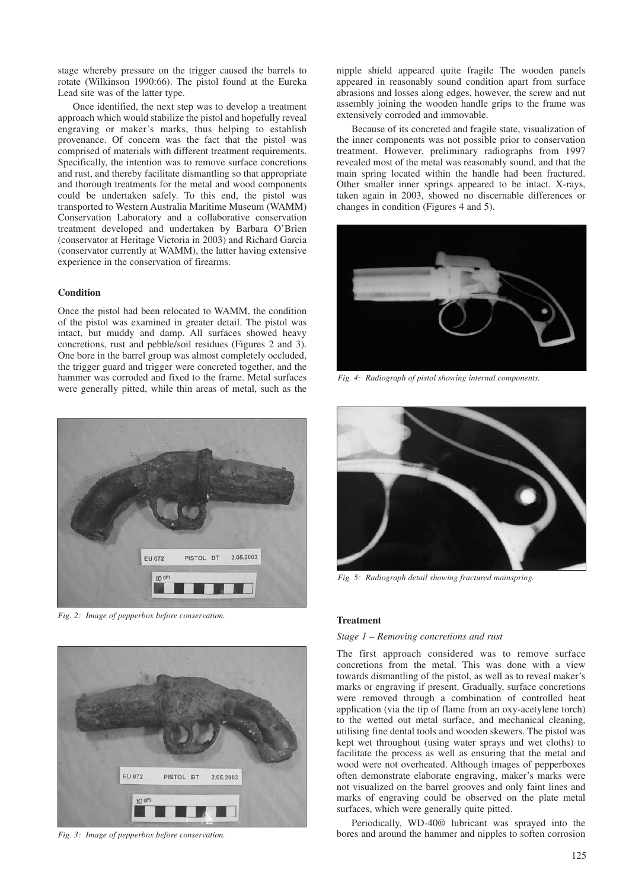stage whereby pressure on the trigger caused the barrels to rotate (Wilkinson 1990:66). The pistol found at the Eureka Lead site was of the latter type.

Once identified, the next step was to develop a treatment approach which would stabilize the pistol and hopefully reveal engraving or maker's marks, thus helping to establish provenance. Of concern was the fact that the pistol was comprised of materials with different treatment requirements. Specifically, the intention was to remove surface concretions and rust, and thereby facilitate dismantling so that appropriate and thorough treatments for the metal and wood components could be undertaken safely. To this end, the pistol was transported to Western Australia Maritime Museum (WAMM) Conservation Laboratory and a collaborative conservation treatment developed and undertaken by Barbara O'Brien (conservator at Heritage Victoria in 2003) and Richard Garcia (conservator currently at WAMM), the latter having extensive experience in the conservation of firearms.

#### **Condition**

Once the pistol had been relocated to WAMM, the condition of the pistol was examined in greater detail. The pistol was intact, but muddy and damp. All surfaces showed heavy concretions, rust and pebble/soil residues (Figures 2 and 3). One bore in the barrel group was almost completely occluded, the trigger guard and trigger were concreted together, and the hammer was corroded and fixed to the frame. Metal surfaces were generally pitted, while thin areas of metal, such as the



*Fig. 2: Image of pepperbox before conservation.*



*Fig. 3: Image of pepperbox before conservation.*

nipple shield appeared quite fragile The wooden panels appeared in reasonably sound condition apart from surface abrasions and losses along edges, however, the screw and nut assembly joining the wooden handle grips to the frame was extensively corroded and immovable.

Because of its concreted and fragile state, visualization of the inner components was not possible prior to conservation treatment. However, preliminary radiographs from 1997 revealed most of the metal was reasonably sound, and that the main spring located within the handle had been fractured. Other smaller inner springs appeared to be intact. X-rays, taken again in 2003, showed no discernable differences or changes in condition (Figures 4 and 5).



*Fig. 4: Radiograph of pistol showing internal components.*



*Fig. 5: Radiograph detail showing fractured mainspring.*

### **Treatment**

#### *Stage 1 – Removing concretions and rust*

The first approach considered was to remove surface concretions from the metal. This was done with a view towards dismantling of the pistol, as well as to reveal maker's marks or engraving if present. Gradually, surface concretions were removed through a combination of controlled heat application (via the tip of flame from an oxy-acetylene torch) to the wetted out metal surface, and mechanical cleaning, utilising fine dental tools and wooden skewers. The pistol was kept wet throughout (using water sprays and wet cloths) to facilitate the process as well as ensuring that the metal and wood were not overheated. Although images of pepperboxes often demonstrate elaborate engraving, maker's marks were not visualized on the barrel grooves and only faint lines and marks of engraving could be observed on the plate metal surfaces, which were generally quite pitted.

Periodically, WD-40® lubricant was sprayed into the bores and around the hammer and nipples to soften corrosion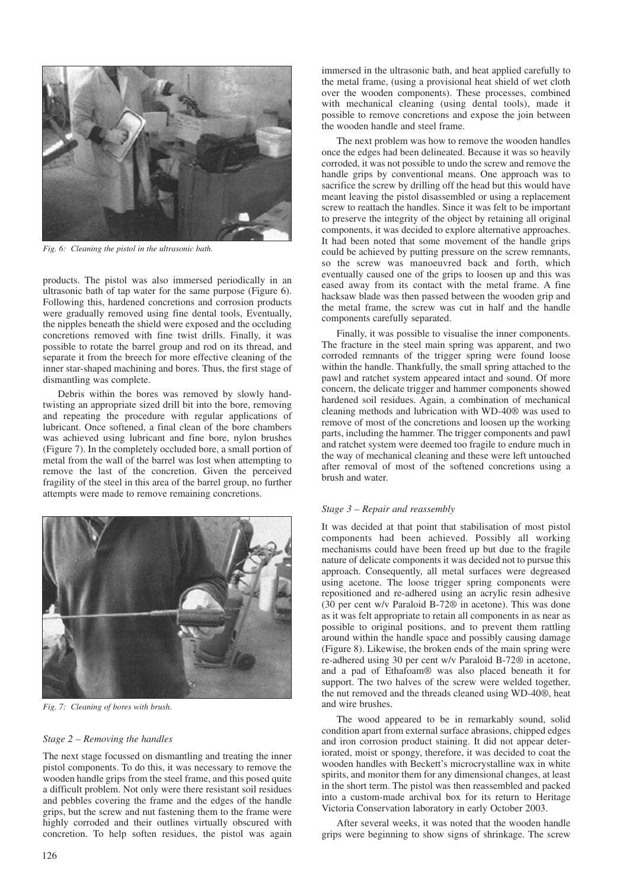

*Fig. 6: Cleaning the pistol in the ultrasonic bath.*

products. The pistol was also immersed periodically in an ultrasonic bath of tap water for the same purpose (Figure 6). Following this, hardened concretions and corrosion products were gradually removed using fine dental tools, Eventually, the nipples beneath the shield were exposed and the occluding concretions removed with fine twist drills. Finally, it was possible to rotate the barrel group and rod on its thread, and separate it from the breech for more effective cleaning of the inner star-shaped machining and bores. Thus, the first stage of dismantling was complete.

Debris within the bores was removed by slowly handtwisting an appropriate sized drill bit into the bore, removing and repeating the procedure with regular applications of lubricant. Once softened, a final clean of the bore chambers was achieved using lubricant and fine bore, nylon brushes (Figure 7). In the completely occluded bore, a small portion of metal from the wall of the barrel was lost when attempting to remove the last of the concretion. Given the perceived fragility of the steel in this area of the barrel group, no further attempts were made to remove remaining concretions.



*Fig. 7: Cleaning of bores with brush.*

#### *Stage 2 – Removing the handles*

The next stage focussed on dismantling and treating the inner pistol components. To do this, it was necessary to remove the wooden handle grips from the steel frame, and this posed quite a difficult problem. Not only were there resistant soil residues and pebbles covering the frame and the edges of the handle grips, but the screw and nut fastening them to the frame were highly corroded and their outlines virtually obscured with concretion. To help soften residues, the pistol was again immersed in the ultrasonic bath, and heat applied carefully to the metal frame, (using a provisional heat shield of wet cloth over the wooden components). These processes, combined with mechanical cleaning (using dental tools), made it possible to remove concretions and expose the join between the wooden handle and steel frame.

The next problem was how to remove the wooden handles once the edges had been delineated. Because it was so heavily corroded, it was not possible to undo the screw and remove the handle grips by conventional means. One approach was to sacrifice the screw by drilling off the head but this would have meant leaving the pistol disassembled or using a replacement screw to reattach the handles. Since it was felt to be important to preserve the integrity of the object by retaining all original components, it was decided to explore alternative approaches. It had been noted that some movement of the handle grips could be achieved by putting pressure on the screw remnants, so the screw was manoeuvred back and forth, which eventually caused one of the grips to loosen up and this was eased away from its contact with the metal frame. A fine hacksaw blade was then passed between the wooden grip and the metal frame, the screw was cut in half and the handle components carefully separated.

Finally, it was possible to visualise the inner components. The fracture in the steel main spring was apparent, and two corroded remnants of the trigger spring were found loose within the handle. Thankfully, the small spring attached to the pawl and ratchet system appeared intact and sound. Of more concern, the delicate trigger and hammer components showed hardened soil residues. Again, a combination of mechanical cleaning methods and lubrication with WD-40® was used to remove of most of the concretions and loosen up the working parts, including the hammer. The trigger components and pawl and ratchet system were deemed too fragile to endure much in the way of mechanical cleaning and these were left untouched after removal of most of the softened concretions using a brush and water.

#### *Stage 3 – Repair and reassembly*

It was decided at that point that stabilisation of most pistol components had been achieved. Possibly all working mechanisms could have been freed up but due to the fragile nature of delicate components it was decided not to pursue this approach. Consequently, all metal surfaces were degreased using acetone. The loose trigger spring components were repositioned and re-adhered using an acrylic resin adhesive (30 per cent w/v Paraloid B-72® in acetone). This was done as it was felt appropriate to retain all components in as near as possible to original positions, and to prevent them rattling around within the handle space and possibly causing damage (Figure 8). Likewise, the broken ends of the main spring were re-adhered using 30 per cent w/v Paraloid B-72® in acetone, and a pad of Ethafoam® was also placed beneath it for support. The two halves of the screw were welded together, the nut removed and the threads cleaned using WD-40®, heat and wire brushes.

The wood appeared to be in remarkably sound, solid condition apart from external surface abrasions, chipped edges and iron corrosion product staining. It did not appear deteriorated, moist or spongy, therefore, it was decided to coat the wooden handles with Beckett's microcrystalline wax in white spirits, and monitor them for any dimensional changes, at least in the short term. The pistol was then reassembled and packed into a custom-made archival box for its return to Heritage Victoria Conservation laboratory in early October 2003.

After several weeks, it was noted that the wooden handle grips were beginning to show signs of shrinkage. The screw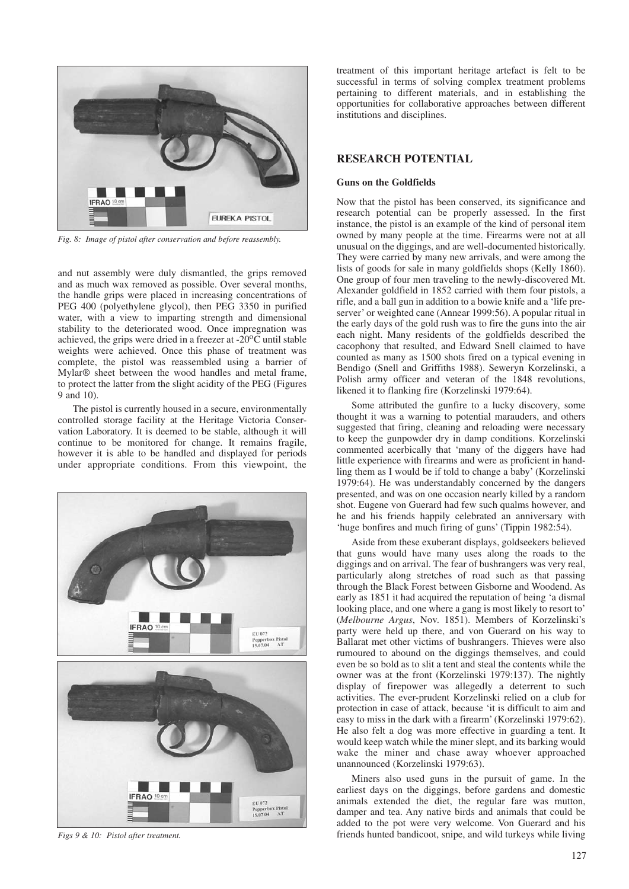

*Fig. 8: Image of pistol after conservation and before reassembly.*

and nut assembly were duly dismantled, the grips removed and as much wax removed as possible. Over several months, the handle grips were placed in increasing concentrations of PEG 400 (polyethylene glycol), then PEG 3350 in purified water, with a view to imparting strength and dimensional stability to the deteriorated wood. Once impregnation was achieved, the grips were dried in a freezer at  $-20^{\circ}$ C until stable weights were achieved. Once this phase of treatment was complete, the pistol was reassembled using a barrier of Mylar® sheet between the wood handles and metal frame, to protect the latter from the slight acidity of the PEG (Figures 9 and 10).

The pistol is currently housed in a secure, environmentally controlled storage facility at the Heritage Victoria Conservation Laboratory. It is deemed to be stable, although it will continue to be monitored for change. It remains fragile, however it is able to be handled and displayed for periods under appropriate conditions. From this viewpoint, the



*Figs 9 & 10: Pistol after treatment.*

treatment of this important heritage artefact is felt to be successful in terms of solving complex treatment problems pertaining to different materials, and in establishing the opportunities for collaborative approaches between different institutions and disciplines.

## **RESEARCH POTENTIAL**

#### **Guns on the Goldfields**

Now that the pistol has been conserved, its significance and research potential can be properly assessed. In the first instance, the pistol is an example of the kind of personal item owned by many people at the time. Firearms were not at all unusual on the diggings, and are well-documented historically. They were carried by many new arrivals, and were among the lists of goods for sale in many goldfields shops (Kelly 1860). One group of four men traveling to the newly-discovered Mt. Alexander goldfield in 1852 carried with them four pistols, a rifle, and a ball gun in addition to a bowie knife and a 'life preserver' or weighted cane (Annear 1999:56). A popular ritual in the early days of the gold rush was to fire the guns into the air each night. Many residents of the goldfields described the cacophony that resulted, and Edward Snell claimed to have counted as many as 1500 shots fired on a typical evening in Bendigo (Snell and Griffiths 1988). Seweryn Korzelinski, a Polish army officer and veteran of the 1848 revolutions, likened it to flanking fire (Korzelinski 1979:64).

Some attributed the gunfire to a lucky discovery, some thought it was a warning to potential marauders, and others suggested that firing, cleaning and reloading were necessary to keep the gunpowder dry in damp conditions. Korzelinski commented acerbically that 'many of the diggers have had little experience with firearms and were as proficient in handling them as I would be if told to change a baby' (Korzelinski 1979:64). He was understandably concerned by the dangers presented, and was on one occasion nearly killed by a random shot. Eugene von Guerard had few such qualms however, and he and his friends happily celebrated an anniversary with 'huge bonfires and much firing of guns' (Tippin 1982:54).

Aside from these exuberant displays, goldseekers believed that guns would have many uses along the roads to the diggings and on arrival. The fear of bushrangers was very real, particularly along stretches of road such as that passing through the Black Forest between Gisborne and Woodend. As early as 1851 it had acquired the reputation of being 'a dismal looking place, and one where a gang is most likely to resort to' (*Melbourne Argus*, Nov. 1851). Members of Korzelinski's party were held up there, and von Guerard on his way to Ballarat met other victims of bushrangers. Thieves were also rumoured to abound on the diggings themselves, and could even be so bold as to slit a tent and steal the contents while the owner was at the front (Korzelinski 1979:137). The nightly display of firepower was allegedly a deterrent to such activities. The ever-prudent Korzelinski relied on a club for protection in case of attack, because 'it is difficult to aim and easy to miss in the dark with a firearm' (Korzelinski 1979:62). He also felt a dog was more effective in guarding a tent. It would keep watch while the miner slept, and its barking would wake the miner and chase away whoever approached unannounced (Korzelinski 1979:63).

Miners also used guns in the pursuit of game. In the earliest days on the diggings, before gardens and domestic animals extended the diet, the regular fare was mutton, damper and tea. Any native birds and animals that could be added to the pot were very welcome. Von Guerard and his friends hunted bandicoot, snipe, and wild turkeys while living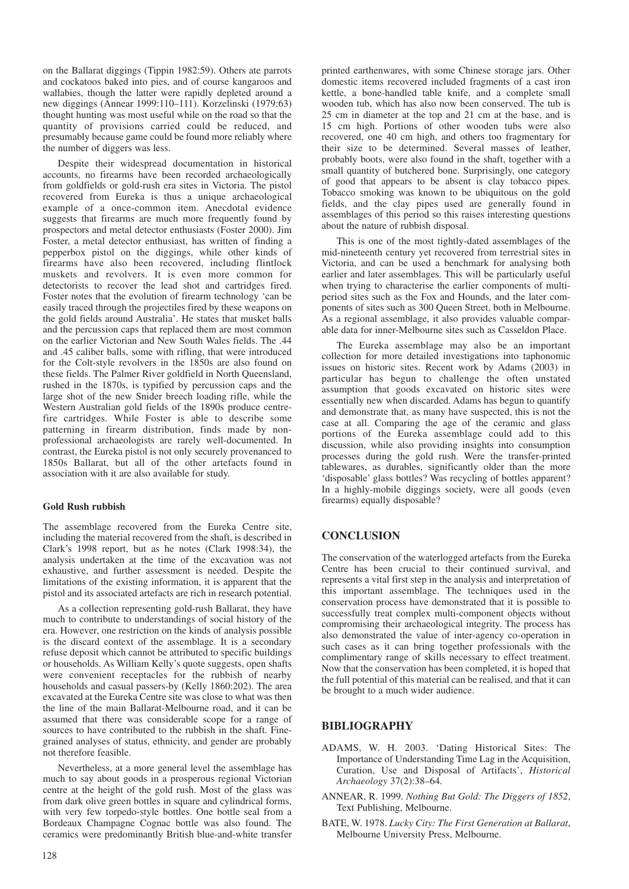on the Ballarat diggings (Tippin 1982:59). Others ate parrots and cockatoos baked into pies, and of course kangaroos and wallabies, though the latter were rapidly depleted around a new diggings (Annear 1999:110–111). Korzelinski (1979:63) thought hunting was most useful while on the road so that the quantity of provisions carried could be reduced, and presumably because game could be found more reliably where the number of diggers was less.

Despite their widespread documentation in historical accounts, no firearms have been recorded archaeologically from goldfields or gold-rush era sites in Victoria. The pistol recovered from Eureka is thus a unique archaeological example of a once-common item. Anecdotal evidence suggests that firearms are much more frequently found by prospectors and metal detector enthusiasts (Foster 2000). Jim Foster, a metal detector enthusiast, has written of finding a pepperbox pistol on the diggings, while other kinds of firearms have also been recovered, including flintlock muskets and revolvers. It is even more common for detectorists to recover the lead shot and cartridges fired. Foster notes that the evolution of firearm technology 'can be easily traced through the projectiles fired by these weapons on the gold fields around Australia'. He states that musket balls and the percussion caps that replaced them are most common on the earlier Victorian and New South Wales fields. The .44 and .45 caliber balls, some with rifling, that were introduced for the Colt-style revolvers in the 1850s are also found on these fields. The Palmer River goldfield in North Queensland, rushed in the 1870s, is typified by percussion caps and the large shot of the new Snider breech loading rifle, while the Western Australian gold fields of the 1890s produce centrefire cartridges. While Foster is able to describe some patterning in firearm distribution, finds made by nonprofessional archaeologists are rarely well-documented. In contrast, the Eureka pistol is not only securely provenanced to 1850s Ballarat, but all of the other artefacts found in association with it are also available for study.

### **Gold Rush rubbish**

The assemblage recovered from the Eureka Centre site, including the material recovered from the shaft, is described in Clark's 1998 report, but as he notes (Clark 1998:34), the analysis undertaken at the time of the excavation was not exhaustive, and further assessment is needed. Despite the limitations of the existing information, it is apparent that the pistol and its associated artefacts are rich in research potential.

As a collection representing gold-rush Ballarat, they have much to contribute to understandings of social history of the era. However, one restriction on the kinds of analysis possible is the discard context of the assemblage. It is a secondary refuse deposit which cannot be attributed to specific buildings or households. As William Kelly's quote suggests, open shafts were convenient receptacles for the rubbish of nearby households and casual passers-by (Kelly 1860:202). The area excavated at the Eureka Centre site was close to what was then the line of the main Ballarat-Melbourne road, and it can be assumed that there was considerable scope for a range of sources to have contributed to the rubbish in the shaft. Finegrained analyses of status, ethnicity, and gender are probably not therefore feasible.

Nevertheless, at a more general level the assemblage has much to say about goods in a prosperous regional Victorian centre at the height of the gold rush. Most of the glass was from dark olive green bottles in square and cylindrical forms, with very few torpedo-style bottles. One bottle seal from a Bordeaux Champagne Cognac bottle was also found. The ceramics were predominantly British blue-and-white transfer printed earthenwares, with some Chinese storage jars. Other domestic items recovered included fragments of a cast iron kettle, a bone-handled table knife, and a complete small wooden tub, which has also now been conserved. The tub is 25 cm in diameter at the top and 21 cm at the base, and is 15 cm high. Portions of other wooden tubs were also recovered, one 40 cm high, and others too fragmentary for their size to be determined. Several masses of leather, probably boots, were also found in the shaft, together with a small quantity of butchered bone. Surprisingly, one category of good that appears to be absent is clay tobacco pipes. Tobacco smoking was known to be ubiquitous on the gold fields, and the clay pipes used are generally found in assemblages of this period so this raises interesting questions about the nature of rubbish disposal.

This is one of the most tightly-dated assemblages of the mid-nineteenth century yet recovered from terrestrial sites in Victoria, and can be used a benchmark for analysing both earlier and later assemblages. This will be particularly useful when trying to characterise the earlier components of multiperiod sites such as the Fox and Hounds, and the later components of sites such as 300 Queen Street, both in Melbourne. As a regional assemblage, it also provides valuable comparable data for inner-Melbourne sites such as Casseldon Place.

The Eureka assemblage may also be an important collection for more detailed investigations into taphonomic issues on historic sites. Recent work by Adams (2003) in particular has begun to challenge the often unstated assumption that goods excavated on historic sites were essentially new when discarded. Adams has begun to quantify and demonstrate that, as many have suspected, this is not the case at all. Comparing the age of the ceramic and glass portions of the Eureka assemblage could add to this discussion, while also providing insights into consumption processes during the gold rush. Were the transfer-printed tablewares, as durables, significantly older than the more 'disposable' glass bottles? Was recycling of bottles apparent? In a highly-mobile diggings society, were all goods (even firearms) equally disposable?

# **CONCLUSION**

The conservation of the waterlogged artefacts from the Eureka Centre has been crucial to their continued survival, and represents a vital first step in the analysis and interpretation of this important assemblage. The techniques used in the conservation process have demonstrated that it is possible to successfully treat complex multi-component objects without compromising their archaeological integrity. The process has also demonstrated the value of inter-agency co-operation in such cases as it can bring together professionals with the complimentary range of skills necessary to effect treatment. Now that the conservation has been completed, it is hoped that the full potential of this material can be realised, and that it can be brought to a much wider audience.

## **BIBLIOGRAPHY**

- ADAMS, W. H. 2003. 'Dating Historical Sites: The Importance of Understanding Time Lag in the Acquisition, Curation, Use and Disposal of Artifacts', *Historical Archaeology* 37(2):38–64.
- ANNEAR, R. 1999. *Nothing But Gold: The Diggers of 1852*, Text Publishing, Melbourne.
- BATE, W. 1978. *Lucky City: The First Generation at Ballarat*, Melbourne University Press, Melbourne.